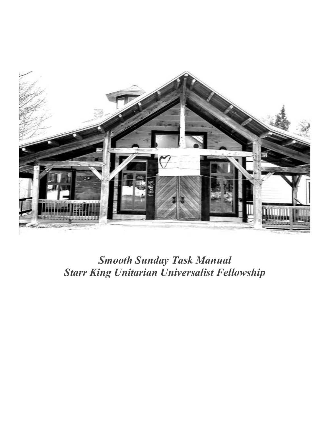

# *Smooth Sunday Task Manual Starr King Unitarian Universalist Fellowship*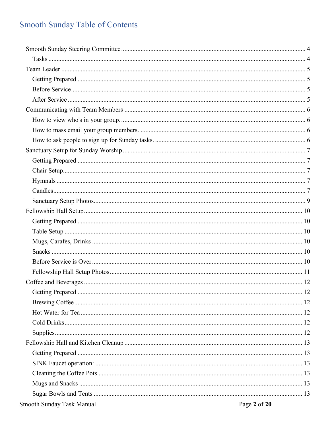# Smooth Sunday Table of Contents

| Smooth Sunday Task Manual | Page 2 of 20 |
|---------------------------|--------------|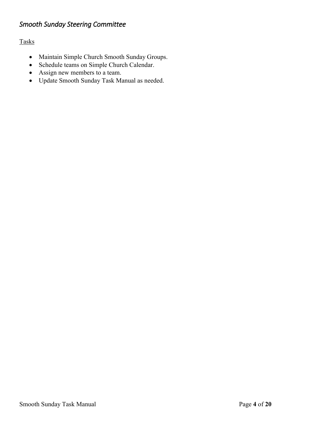# <span id="page-3-0"></span>*Smooth Sunday Steering Committee*

<span id="page-3-1"></span>Tasks

- Maintain Simple Church Smooth Sunday Groups.
- Schedule teams on Simple Church Calendar.
- Assign new members to a team.
- Update Smooth Sunday Task Manual as needed.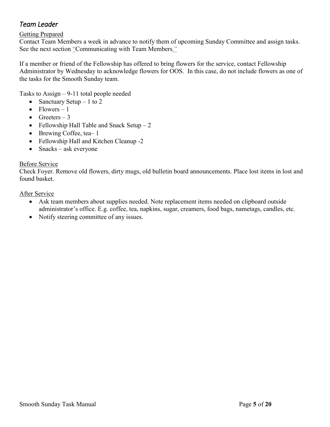# <span id="page-4-0"></span>*Team Leader*

## <span id="page-4-1"></span>Getting Prepared

Contact Team Members a week in advance to notify them of upcoming Sunday Committee and assign tasks. See the next section "[Communicating with Team Members.](#page-5-0)"

If a member or friend of the Fellowship has offered to bring flowers for the service, contact Fellowship Administrator by Wednesday to acknowledge flowers for OOS. In this case, do not include flowers as one of the tasks for the Smooth Sunday team.

Tasks to Assign – 9-11 total people needed

- Sanctuary Setup  $-1$  to 2
- Flowers  $-1$
- Greeters  $-3$
- Fellowship Hall Table and Snack Setup  $-2$
- Brewing Coffee, tea-1
- Fellowship Hall and Kitchen Cleanup -2
- Snacks ask everyone

## <span id="page-4-2"></span>Before Service

Check Foyer. Remove old flowers, dirty mugs, old bulletin board announcements. Place lost items in lost and found basket.

<span id="page-4-3"></span>After Service

- Ask team members about supplies needed. Note replacement items needed on clipboard outside administrator's office. E.g. coffee, tea, napkins, sugar, creamers, food bags, nametags, candles, etc.
- Notify steering committee of any issues.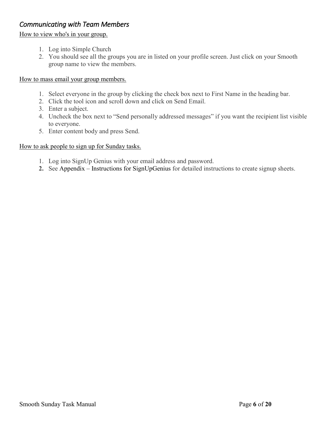# <span id="page-5-0"></span>*Communicating with Team Members*

## <span id="page-5-1"></span>How to view who's in your group.

- 1. Log into Simple Church
- 2. You should see all the groups you are in listed on your profile screen. Just click on your Smooth group name to view the members.

<span id="page-5-2"></span>How to mass email your group members.

- 1. Select everyone in the group by clicking the check box next to First Name in the heading bar.
- 2. Click the tool icon and scroll down and click on Send Email.
- 3. Enter a subject.
- 4. Uncheck the box next to "Send personally addressed messages" if you want the recipient list visible to everyone.
- 5. Enter content body and press Send.

## <span id="page-5-3"></span>How to ask people to sign up for Sunday tasks.

- 1. Log into SignUp Genius with your email address and password.
- **2.** See Appendix [Instructions for SignUpGenius](#page-16-0) for detailed instructions to create signup sheets.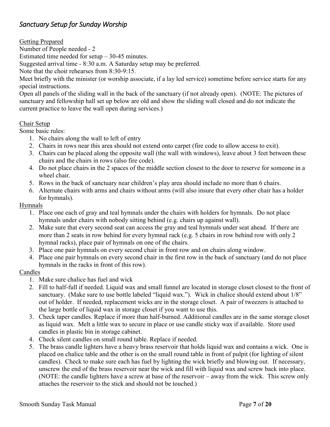## <span id="page-6-0"></span>*Sanctuary Setup for Sunday Worship*

<span id="page-6-1"></span>Getting Prepared

Number of People needed - 2

Estimated time needed for setup – 30-45 minutes.

Suggested arrival time - 8:30 a.m. A Saturday setup may be preferred.

Note that the choir rehearses from 8:30-9:15.

Meet briefly with the minister (or worship associate, if a lay led service) sometime before service starts for any special instructions.

Open all panels of the sliding wall in the back of the sanctuary (if not already open). (NOTE: The pictures of sanctuary and fellowship hall set up below are old and show the sliding wall closed and do not indicate the current practice to leave the wall open during services.)

## <span id="page-6-2"></span>Chair Setup

Some basic rules:

- 1. No chairs along the wall to left of entry
- 2. Chairs in rows near this area should not extend onto carpet (fire code to allow access to exit).
- 3. Chairs can be placed along the opposite wall (the wall with windows), leave about 3 feet between these chairs and the chairs in rows (also fire code).
- 4. Do not place chairs in the 2 spaces of the middle section closest to the door to reserve for someone in a wheel chair.
- 5. Rows in the back of sanctuary near children's play area should include no more than 6 chairs.
- 6. Alternate chairs with arms and chairs without arms (will also insure that every other chair has a holder for hymnals).

## <span id="page-6-3"></span>Hymnals

- 1. Place one each of gray and teal hymnals under the chairs with holders for hymnals. Do not place hymnals under chairs with nobody sitting behind (e.g. chairs up against wall).
- 2. Make sure that every second seat can access the gray and teal hymnals under seat ahead. If there are more than 2 seats in row behind for every hymnal rack (e.g. 5 chairs in row behind row with only 2 hymnal racks), place pair of hymnals on one of the chairs.
- 3. Place one pair hymnals on every second chair in front row and on chairs along window.
- 4. Place one pair hymnals on every second chair in the first row in the back of sanctuary (and do not place hymnals in the racks in front of this row).

## <span id="page-6-4"></span>Candles

- 1. Make sure chalice has fuel and wick
- 2. Fill to half-full if needed. Liquid wax and small funnel are located in storage closet closest to the front of sanctuary. (Make sure to use bottle labeled "liquid wax."). Wick in chalice should extend about  $1/8$ " out of holder. If needed, replacement wicks are in the storage closet. A pair of tweezers is attached to the large bottle of liquid wax in storage closet if you want to use this.
- 3. Check taper candles. Replace if more than half-burned. Additional candles are in the same storage closet as liquid wax. Melt a little wax to secure in place or use candle sticky wax if available. Store used candles in plastic bin in storage cabinet.
- 4. Check silent candles on small round table. Replace if needed.
- 5. The brass candle lighters have a heavy brass reservoir that holds liquid wax and contains a wick. One is placed on chalice table and the other is on the small round table in front of pulpit (for lighting of silent candles). Check to make sure each has fuel by lighting the wick briefly and blowing out. If necessary, unscrew the end of the brass reservoir near the wick and fill with liquid wax and screw back into place. (NOTE: the candle lighters have a screw at base of the reservoir – away from the wick. This screw only attaches the reservoir to the stick and should not be touched.)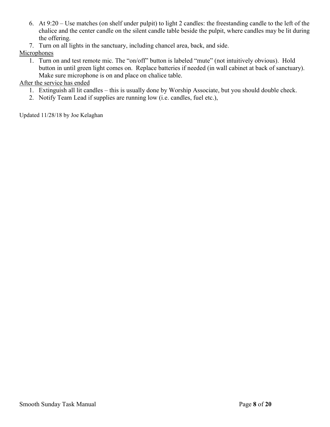- 6. At 9:20 Use matches (on shelf under pulpit) to light 2 candles: the freestanding candle to the left of the chalice and the center candle on the silent candle table beside the pulpit, where candles may be lit during the offering.
- 7. Turn on all lights in the sanctuary, including chancel area, back, and side.

## **Microphones**

1. Turn on and test remote mic. The "on/off" button is labeled "mute" (not intuitively obvious). Hold button in until green light comes on. Replace batteries if needed (in wall cabinet at back of sanctuary). Make sure microphone is on and place on chalice table.

## After the service has ended

- 1. Extinguish all lit candles this is usually done by Worship Associate, but you should double check.
- 2. Notify Team Lead if supplies are running low (i.e. candles, fuel etc.),

Updated 11/28/18 by Joe Kelaghan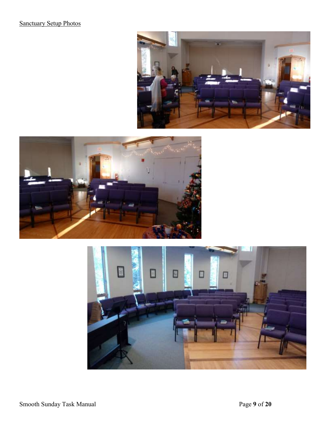# <span id="page-8-0"></span>**Sanctuary Setup Photos**





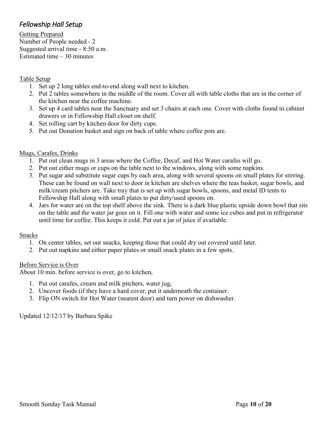# <span id="page-9-0"></span>*Fellowship Hall Setup*

<span id="page-9-1"></span>Getting Prepared Number of People needed - 2 Suggested arrival time - 8:50 a.m. Estimated time – 30 minutes

## <span id="page-9-2"></span>Table Setup

- 1. Set up 2 long tables end-to-end along wall next to kitchen.
- 2. Put 2 tables somewhere in the middle of the room. Cover all with table cloths that are in the corner of the kitchen near the coffee machine.
- 3. Set up 4 card tables near the Sanctuary and set 3 chairs at each one. Cover with cloths found in cabinet drawers or in Fellowship Hall closet on shelf.
- 4. Set rolling cart by kitchen door for dirty cups.
- 5. Put out Donation basket and sign on back of table where coffee pots are.

## <span id="page-9-3"></span>Mugs, Carafes, Drinks

- 1. Put out clean mugs in 3 areas where the Coffee, Decaf, and Hot Water carafes will go.
- 2. Put out either mugs or cups on the table next to the windows, along with some napkins.
- 3. Put sugar and substitute sugar cups by each area, along with several spoons on small plates for stirring. These can be found on wall next to door in kitchen are shelves where the teas basket, sugar bowls, and milk/cream pitchers are. Take tray that is set up with sugar bowls, spoons, and metal ID tents to Fellowship Hall along with small plates to put dirty/used spoons on.
- 4. Jars for water are on the top shelf above the sink. There is a dark blue plastic upside down bowl that sits on the table and the water jar goes on it. Fill one with water and some ice cubes and put in refrigerator until time for coffee. This keeps it cold. Put out a jar of juice if available.

## <span id="page-9-4"></span>**Snacks**

- 1. On center tables, set out snacks, keeping those that could dry out covered until later.
- 2. Put out napkins and either paper plates or small snack plates in a few spots.

## <span id="page-9-5"></span>Before Service is Over

About 10 min. before service is over, go to kitchen,

- 1. Put out carafes, cream and milk pitchers, water jug,
- 2. Uncover foods (if they have a hard cover, put it underneath the container.
- 3. Flip ON switch for Hot Water (nearest door) and turn power on dishwasher.

Updated 12/12/17 by Barbara Spike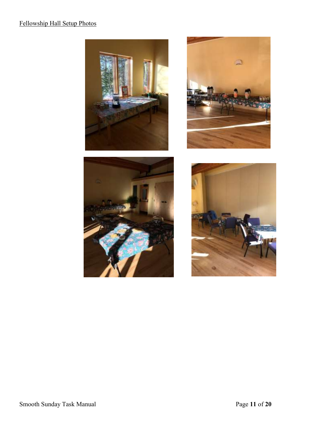# <span id="page-10-0"></span>Fellowship Hall Setup Photos







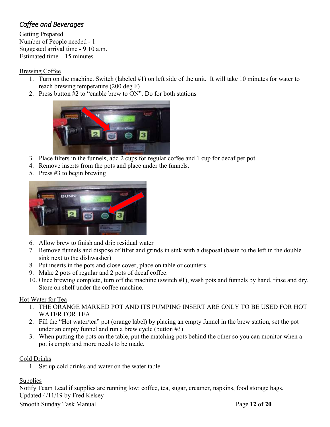# <span id="page-11-0"></span>*Coffee and Beverages*

<span id="page-11-1"></span>Getting Prepared Number of People needed - 1 Suggested arrival time - 9:10 a.m. Estimated time – 15 minutes

## <span id="page-11-2"></span>Brewing Coffee

- 1. Turn on the machine. Switch (labeled #1) on left side of the unit. It will take 10 minutes for water to reach brewing temperature (200 deg F)
- 2. Press button #2 to "enable brew to ON". Do for both stations



- 3. Place filters in the funnels, add 2 cups for regular coffee and 1 cup for decaf per pot
- 4. Remove inserts from the pots and place under the funnels.
- 5. Press #3 to begin brewing



- 6. Allow brew to finish and drip residual water
- 7. Remove funnels and dispose of filter and grinds in sink with a disposal (basin to the left in the double sink next to the dishwasher)
- 8. Put inserts in the pots and close cover, place on table or counters
- 9. Make 2 pots of regular and 2 pots of decaf coffee.
- 10. Once brewing complete, turn off the machine (switch #1), wash pots and funnels by hand, rinse and dry. Store on shelf under the coffee machine.

## <span id="page-11-3"></span>Hot Water for Tea

- 1. THE ORANGE MARKED POT AND ITS PUMPING INSERT ARE ONLY TO BE USED FOR HOT WATER FOR TEA.
- 2. Fill the "Hot water/tea" pot (orange label) by placing an empty funnel in the brew station, set the pot under an empty funnel and run a brew cycle (button #3)
- 3. When putting the pots on the table, put the matching pots behind the other so you can monitor when a pot is empty and more needs to be made.

## <span id="page-11-4"></span>Cold Drinks

1. Set up cold drinks and water on the water table.

## <span id="page-11-5"></span>**Supplies**

Notify Team Lead if supplies are running low: coffee, tea, sugar, creamer, napkins, food storage bags. Updated 4/11/19 by Fred Kelsey

Smooth Sunday Task Manual **Page 12** of **20**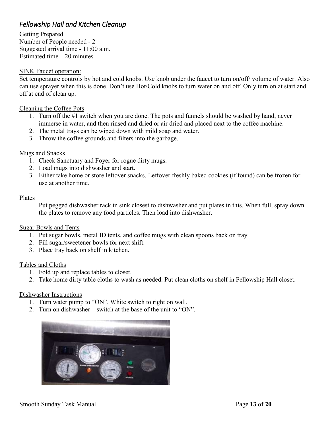# <span id="page-12-0"></span>*Fellowship Hall and Kitchen Cleanup*

<span id="page-12-1"></span>Getting Prepared Number of People needed - 2 Suggested arrival time - 11:00 a.m. Estimated time – 20 minutes

## <span id="page-12-2"></span>SINK Faucet operation:

Set temperature controls by hot and cold knobs. Use knob under the faucet to turn on/off/ volume of water. Also can use sprayer when this is done. Don't use Hot/Cold knobs to turn water on and off. Only turn on at start and off at end of clean up.

#### <span id="page-12-3"></span>Cleaning the Coffee Pots

- 1. Turn off the #1 switch when you are done. The pots and funnels should be washed by hand, never immerse in water, and then rinsed and dried or air dried and placed next to the coffee machine.
- 2. The metal trays can be wiped down with mild soap and water.
- 3. Throw the coffee grounds and filters into the garbage.

#### <span id="page-12-4"></span>Mugs and Snacks

- 1. Check Sanctuary and Foyer for rogue dirty mugs.
- 2. Load mugs into dishwasher and start.
- 3. Either take home or store leftover snacks. Leftover freshly baked cookies (if found) can be frozen for use at another time.

#### Plates

Put pegged dishwasher rack in sink closest to dishwasher and put plates in this. When full, spray down the plates to remove any food particles. Then load into dishwasher.

#### <span id="page-12-5"></span>Sugar Bowls and Tents

- 1. Put sugar bowls, metal ID tents, and coffee mugs with clean spoons back on tray.
- 2. Fill sugar/sweetener bowls for next shift.
- 3. Place tray back on shelf in kitchen.

#### <span id="page-12-6"></span>Tables and Cloths

- 1. Fold up and replace tables to closet.
- 2. Take home dirty table cloths to wash as needed. Put clean cloths on shelf in Fellowship Hall closet.

#### <span id="page-12-7"></span>Dishwasher Instructions

- 1. Turn water pump to "ON". White switch to right on wall.
- 2. Turn on dishwasher switch at the base of the unit to "ON".

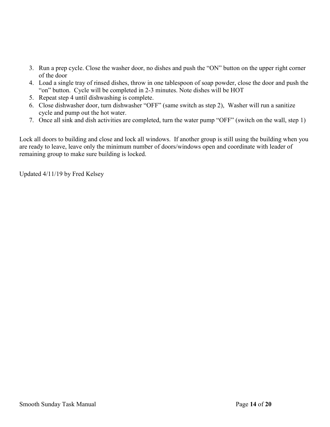- 3. Run a prep cycle. Close the washer door, no dishes and push the "ON" button on the upper right corner of the door
- 4. Load a single tray of rinsed dishes, throw in one tablespoon of soap powder, close the door and push the "on" button. Cycle will be completed in 2-3 minutes. Note dishes will be HOT
- 5. Repeat step 4 until dishwashing is complete.
- 6. Close dishwasher door, turn dishwasher "OFF" (same switch as step 2), Washer will run a sanitize cycle and pump out the hot water.
- 7. Once all sink and dish activities are completed, turn the water pump "OFF" (switch on the wall, step 1)

Lock all doors to building and close and lock all windows. If another group is still using the building when you are ready to leave, leave only the minimum number of doors/windows open and coordinate with leader of remaining group to make sure building is locked.

Updated 4/11/19 by Fred Kelsey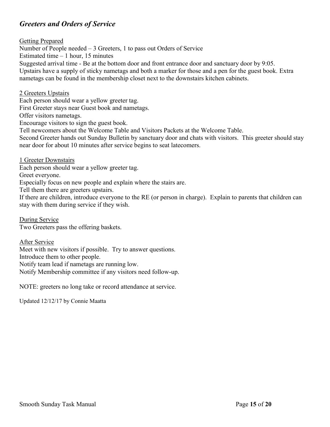## <span id="page-14-0"></span>*Greeters and Orders of Service*

<span id="page-14-1"></span>Getting Prepared Number of People needed – 3 Greeters, 1 to pass out Orders of Service Estimated time  $-1$  hour, 15 minutes Suggested arrival time - Be at the bottom door and front entrance door and sanctuary door by 9:05. Upstairs have a supply of sticky nametags and both a marker for those and a pen for the guest book. Extra nametags can be found in the membership closet next to the downstairs kitchen cabinets.

<span id="page-14-2"></span>2 Greeters Upstairs Each person should wear a yellow greeter tag. First Greeter stays near Guest book and nametags.

Offer visitors nametags.

Encourage visitors to sign the guest book.

Tell newcomers about the Welcome Table and Visitors Packets at the Welcome Table.

Second Greeter hands out Sunday Bulletin by sanctuary door and chats with visitors. This greeter should stay near door for about 10 minutes after service begins to seat latecomers.

<span id="page-14-3"></span>1 Greeter Downstairs

Each person should wear a yellow greeter tag.

Greet everyone.

Especially focus on new people and explain where the stairs are.

Tell them there are greeters upstairs.

If there are children, introduce everyone to the RE (or person in charge). Explain to parents that children can stay with them during service if they wish.

<span id="page-14-4"></span>During Service Two Greeters pass the offering baskets.

<span id="page-14-5"></span>After Service Meet with new visitors if possible. Try to answer questions. Introduce them to other people. Notify team lead if nametags are running low. Notify Membership committee if any visitors need follow-up.

NOTE: greeters no long take or record attendance at service.

Updated 12/12/17 by Connie Maatta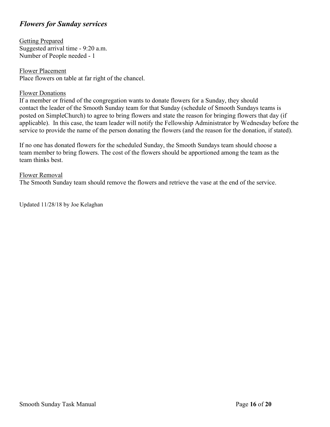## <span id="page-15-0"></span>*Flowers for Sunday services*

<span id="page-15-1"></span>Getting Prepared Suggested arrival time - 9:20 a.m. Number of People needed - 1

<span id="page-15-2"></span>Flower Placement Place flowers on table at far right of the chancel.

## <span id="page-15-3"></span>Flower Donations

If a member or friend of the congregation wants to donate flowers for a Sunday, they should contact the leader of the Smooth Sunday team for that Sunday (schedule of Smooth Sundays teams is posted on SimpleChurch) to agree to bring flowers and state the reason for bringing flowers that day (if applicable). In this case, the team leader will notify the Fellowship Administrator by Wednesday before the service to provide the name of the person donating the flowers (and the reason for the donation, if stated).

If no one has donated flowers for the scheduled Sunday, the Smooth Sundays team should choose a team member to bring flowers. The cost of the flowers should be apportioned among the team as the team thinks best.

#### <span id="page-15-4"></span>Flower Removal

The Smooth Sunday team should remove the flowers and retrieve the vase at the end of the service.

Updated 11/28/18 by Joe Kelaghan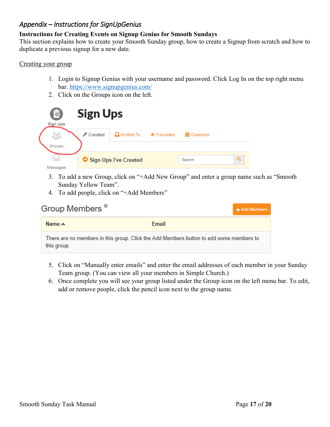## <span id="page-16-0"></span>*Appendix – Instructions for SignUpGenius*

## **Instructions for Creating Events on Signup Genius for Smooth Sundays**

This section explains how to create your Smooth Sunday group, how to create a Signup from scratch and how to duplicate a previous signup for a new date.

## <span id="page-16-1"></span>Creating your group

- 1. Login to Signup Genius with your username and password. Click Log In on the top right menu bar.<https://www.signupgenius.com/>
- 2. Click on the Groups icon on the left.



- 3. To add a new Group, click on "+Add New Group" and enter a group name such as "Smooth Sunday Yellow Team".
- 4. To add people, click on "+Add Members"

| Group Members <sup><sup>*</sup></sup>                                                                  |       | + Add Members |
|--------------------------------------------------------------------------------------------------------|-------|---------------|
| Name $\sim$                                                                                            | Email |               |
| There are no members in this group. Click the Add Members button to add some members to<br>this group. |       |               |

- 5. Click on "Manually enter emails" and enter the email addresses of each member in your Sunday Team group. (You can view all your members in Simple Church.)
- 6. Once complete you will see your group listed under the Group icon on the left menu bar. To edit, add or remove people, click the pencil icon next to the group name.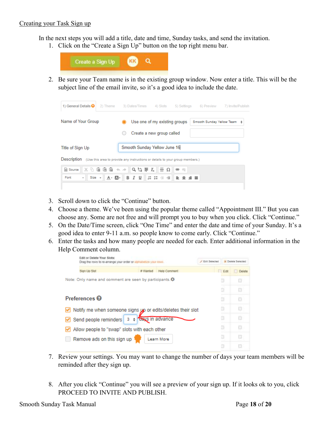#### <span id="page-17-0"></span>Creating your Task Sign up

In the next steps you will add a title, date and time, Sunday tasks, and send the invitation.

1. Click on the "Create a Sign Up" button on the top right menu bar.



2. Be sure your Team name is in the existing group window. Now enter a title. This will be the subject line of the email invite, so it's a good idea to include the date.

| 1) General Details $\mathbf{\Theta}$                                                      | 2) Theme                                                     |  | 3) Dates/Times 4) Slots                              | 5) Settings            | 6) Preview                | 7) Invite/Publish |
|-------------------------------------------------------------------------------------------|--------------------------------------------------------------|--|------------------------------------------------------|------------------------|---------------------------|-------------------|
| Name of Your Group                                                                        |                                                              |  | Use one of my existing groups                        |                        | Smooth Sunday Yellow Team |                   |
|                                                                                           |                                                              |  | Create a new group called                            |                        |                           |                   |
| Title of Sign Up                                                                          |                                                              |  | Smooth Sunday Yellow June 16                         |                        |                           |                   |
| Description (Use this area to provide any instructions or details to your group members.) |                                                              |  |                                                      |                        |                           |                   |
| a Source<br>Size -<br>Font<br>$\overline{\phantom{a}}$                                    | $X\oplus$ G G G $\leftrightarrow$ $\parallel$ Q th F $I_{x}$ |  | $\equiv \Omega$<br>A. 2. B J U   J : 1 1 1 1 2 3 3 1 | $\circledcirc$<br>- 89 |                           |                   |

- 3. Scroll down to click the "Continue" button.
- 4. Choose a theme. We've been using the popular theme called "Appointment III." But you can choose any. Some are not free and will prompt you to buy when you click. Click "Continue."
- 5. On the Date/Time screen, click "One Time" and enter the date and time of your Sunday. It's a good idea to enter 9-11 a.m. so people know to come early. Click "Continue."
- 6. Enter the tasks and how many people are needed for each. Enter additional information in the Help Comment column.

| Edit or Delate Your Slots:<br>Drag the town to re-arrange your order or siphabetize your rows. |          | / Edit Selected<br><b>M</b> Delais Selected |  |           |        |
|------------------------------------------------------------------------------------------------|----------|---------------------------------------------|--|-----------|--------|
| Sian Up Stat                                                                                   | # Wanted | Help Comment                                |  | Edit      | Delete |
| Note: Only name and comment are seen by participants. .                                        |          |                                             |  | O         |        |
|                                                                                                |          |                                             |  | G         |        |
| Preferences <sup>9</sup>                                                                       |          |                                             |  | $\square$ |        |
| Notify me when someone signs yo or edits/deletes their slot                                    |          |                                             |  |           |        |
| Send people reminders                                                                          |          | 3 + days in advance                         |  | a         |        |
| Allow people to "swap" slots with each other                                                   |          |                                             |  | b         |        |
| Remove ads on this sign up                                                                     |          | Learn More                                  |  |           |        |
|                                                                                                |          |                                             |  |           |        |

- 7. Review your settings. You may want to change the number of days your team members will be reminded after they sign up.
- 8. After you click "Continue" you will see a preview of your sign up. If it looks ok to you, click PROCEED TO INVITE AND PUBLISH.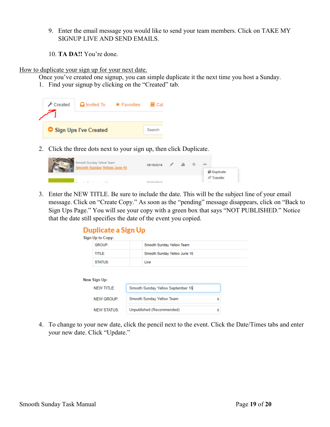- 9. Enter the email message you would like to send your team members. Click on TAKE MY SIGNUP LIVE AND SEND EMAILS.
- 10. **TA DA!!** You're done.

<span id="page-18-0"></span>How to duplicate your sign up for your next date.

Once you've created one signup, you can simple duplicate it the next time you host a Sunday.

1. Find your signup by clicking on the "Created" tab.



2. Click the three dots next to your sign up, then click Duplicate.

| Smooth Sunday Yellow Team<br>ooth Sunday Yellow June 16 | 06/16/2019        |  | 800                 |
|---------------------------------------------------------|-------------------|--|---------------------|
| o<br><u> 1980 (Barbara Maria de Contra Companho de </u> |                   |  | <b>Bi</b> Duplicate |
| $-2$<br>82 H & B                                        | <b>CONTRACTOR</b> |  | Transfer<br>-22     |

3. Enter the NEW TITLE. Be sure to include the date. This will be the subject line of your email message. Click on "Create Copy." As soon as the "pending" message disappears, click on "Back to Sign Ups Page." You will see your copy with a green box that says "NOT PUBLISHED." Notice that the date still specifies the date of the event you copied.

## **Duplicate a Sign Up**

| Sign Up to Copy:  |                                   |   |  |
|-------------------|-----------------------------------|---|--|
| <b>GROUP:</b>     | Smooth Sunday Yellow Team         |   |  |
| <b>TITLE:</b>     | Smooth Sunday Yellow June 16      |   |  |
| <b>STATUS:</b>    | Live                              |   |  |
|                   |                                   |   |  |
|                   |                                   |   |  |
| New Sign Up:      |                                   |   |  |
| <b>NEW TITLE:</b> | Smooth Sunday Yellow September 16 |   |  |
| <b>NEW GROUP:</b> | Smooth Sunday Yellow Team         | ÷ |  |

4. To change to your new date, click the pencil next to the event. Click the Date/Times tabs and enter your new date. Click "Update."